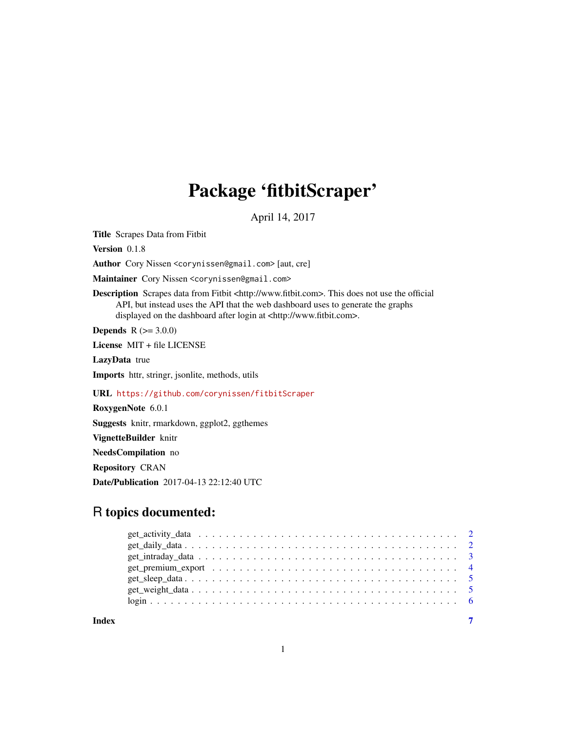## Package 'fitbitScraper'

April 14, 2017

Title Scrapes Data from Fitbit

Version 0.1.8

Author Cory Nissen <corynissen@gmail.com> [aut, cre]

Maintainer Cory Nissen <corynissen@gmail.com>

Description Scrapes data from Fitbit <http://www.fitbit.com>. This does not use the official API, but instead uses the API that the web dashboard uses to generate the graphs displayed on the dashboard after login at <http://www.fitbit.com>.

**Depends**  $R (= 3.0.0)$ 

License MIT + file LICENSE

LazyData true

Imports httr, stringr, jsonlite, methods, utils

URL <https://github.com/corynissen/fitbitScraper>

RoxygenNote 6.0.1

Suggests knitr, rmarkdown, ggplot2, ggthemes

VignetteBuilder knitr

NeedsCompilation no

Repository CRAN

Date/Publication 2017-04-13 22:12:40 UTC

### R topics documented:

| get_premium_export $\dots \dots \dots \dots \dots \dots \dots \dots \dots \dots \dots \dots \dots \dots \dots$ |  |  |
|----------------------------------------------------------------------------------------------------------------|--|--|
|                                                                                                                |  |  |
|                                                                                                                |  |  |
|                                                                                                                |  |  |
|                                                                                                                |  |  |

**Index** [7](#page-6-0) **7**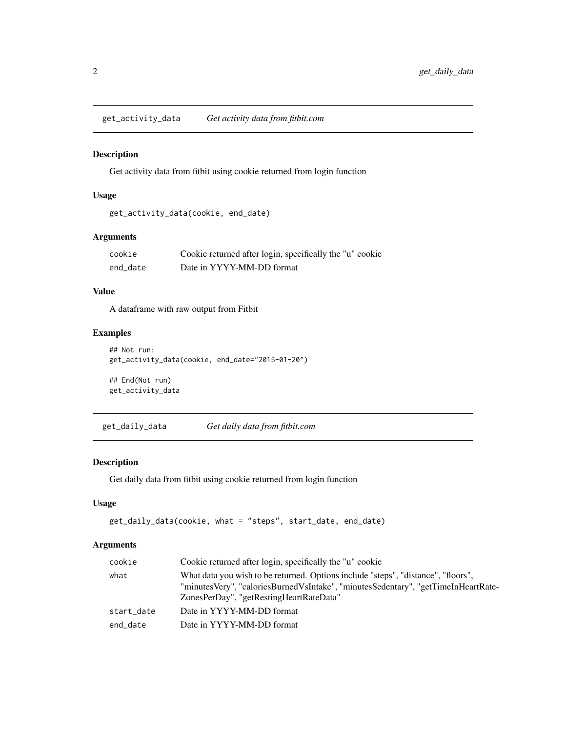<span id="page-1-0"></span>get\_activity\_data *Get activity data from fitbit.com*

#### Description

Get activity data from fitbit using cookie returned from login function

#### Usage

```
get_activity_data(cookie, end_date)
```
#### Arguments

| cookie   | Cookie returned after login, specifically the "u" cookie |
|----------|----------------------------------------------------------|
| end date | Date in YYYY-MM-DD format                                |

#### Value

A dataframe with raw output from Fitbit

#### Examples

```
## Not run:
get_activity_data(cookie, end_date="2015-01-20")
```
## End(Not run) get\_activity\_data

get\_daily\_data *Get daily data from fitbit.com*

#### Description

Get daily data from fitbit using cookie returned from login function

#### Usage

```
get_daily_data(cookie, what = "steps", start_date, end_date)
```
#### Arguments

| cookie     | Cookie returned after login, specifically the "u" cookie                                                                                                                                                          |
|------------|-------------------------------------------------------------------------------------------------------------------------------------------------------------------------------------------------------------------|
| what       | What data you wish to be returned. Options include "steps", "distance", "floors",<br>"minutesVery", "caloriesBurnedVsIntake", "minutesSedentary", "getTimeInHeartRate-<br>ZonesPerDay", "getRestingHeartRateData" |
| start date | Date in YYYY-MM-DD format                                                                                                                                                                                         |
| end date   | Date in YYYY-MM-DD format                                                                                                                                                                                         |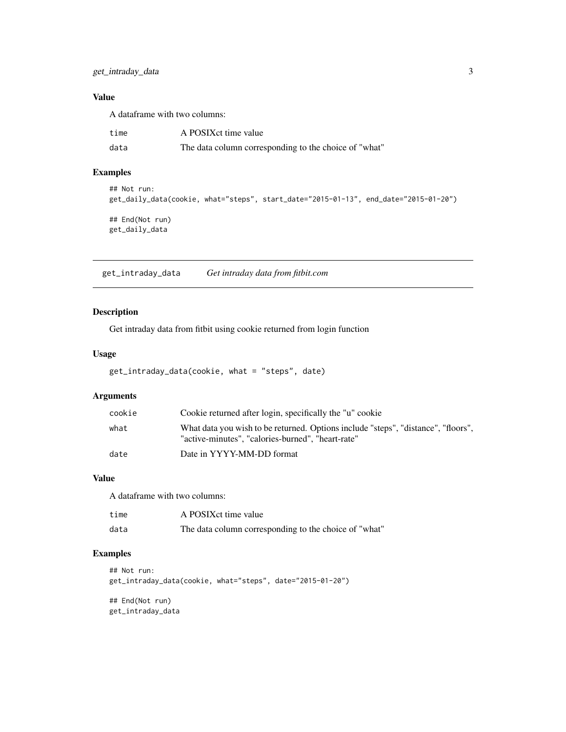<span id="page-2-0"></span>get\_intraday\_data 3

#### Value

A dataframe with two columns:

| time | A POSIX ct time value                                 |
|------|-------------------------------------------------------|
| data | The data column corresponding to the choice of "what" |

#### Examples

```
## Not run:
get_daily_data(cookie, what="steps", start_date="2015-01-13", end_date="2015-01-20")
## End(Not run)
get_daily_data
```
get\_intraday\_data *Get intraday data from fitbit.com*

#### Description

Get intraday data from fitbit using cookie returned from login function

#### Usage

```
get_intraday_data(cookie, what = "steps", date)
```
#### Arguments

| cookie | Cookie returned after login, specifically the "u" cookie                                                                               |
|--------|----------------------------------------------------------------------------------------------------------------------------------------|
| what   | What data you wish to be returned. Options include "steps", "distance", "floors",<br>"active-minutes", "calories-burned", "heart-rate" |
| date   | Date in YYYY-MM-DD format                                                                                                              |

#### Value

A dataframe with two columns:

| time | A POSIX ct time value                                 |
|------|-------------------------------------------------------|
| data | The data column corresponding to the choice of "what" |

#### Examples

```
## Not run:
get_intraday_data(cookie, what="steps", date="2015-01-20")
## End(Not run)
get_intraday_data
```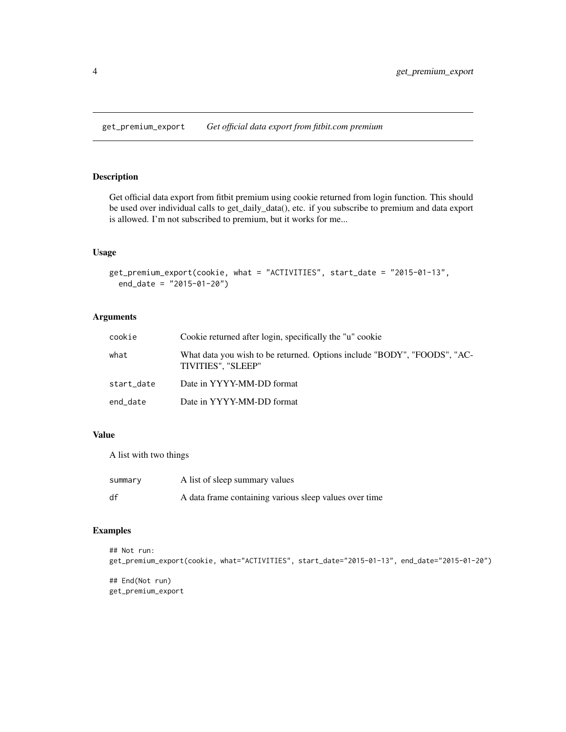<span id="page-3-0"></span>get\_premium\_export *Get official data export from fitbit.com premium*

#### Description

Get official data export from fitbit premium using cookie returned from login function. This should be used over individual calls to get\_daily\_data(), etc. if you subscribe to premium and data export is allowed. I'm not subscribed to premium, but it works for me...

#### Usage

```
get_premium_export(cookie, what = "ACTIVITIES", start_date = "2015-01-13",
  end_date = "2015-01-20")
```
#### Arguments

| cookie     | Cookie returned after login, specifically the "u" cookie                                       |
|------------|------------------------------------------------------------------------------------------------|
| what       | What data you wish to be returned. Options include "BODY", "FOODS", "AC-<br>TIVITIES", "SLEEP" |
| start_date | Date in YYYY-MM-DD format                                                                      |
| end date   | Date in YYYY-MM-DD format                                                                      |

#### Value

A list with two things

| summary | A list of sleep summary values                         |
|---------|--------------------------------------------------------|
| df      | A data frame containing various sleep values over time |

#### Examples

```
## Not run:
get_premium_export(cookie, what="ACTIVITIES", start_date="2015-01-13", end_date="2015-01-20")
```
## End(Not run) get\_premium\_export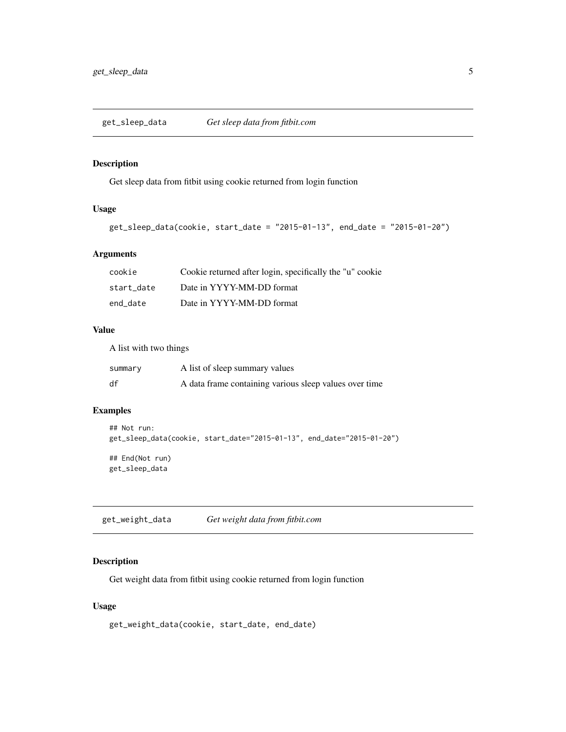<span id="page-4-0"></span>get\_sleep\_data *Get sleep data from fitbit.com*

#### Description

Get sleep data from fitbit using cookie returned from login function

#### Usage

```
get_sleep_data(cookie, start_date = "2015-01-13", end_date = "2015-01-20")
```
#### Arguments

| cookie     | Cookie returned after login, specifically the "u" cookie |
|------------|----------------------------------------------------------|
| start date | Date in YYYY-MM-DD format                                |
| end date   | Date in YYYY-MM-DD format                                |

#### Value

A list with two things

| summary | A list of sleep summary values                         |
|---------|--------------------------------------------------------|
| df      | A data frame containing various sleep values over time |

#### Examples

```
## Not run:
get_sleep_data(cookie, start_date="2015-01-13", end_date="2015-01-20")
## End(Not run)
get_sleep_data
```
get\_weight\_data *Get weight data from fitbit.com*

#### Description

Get weight data from fitbit using cookie returned from login function

#### Usage

get\_weight\_data(cookie, start\_date, end\_date)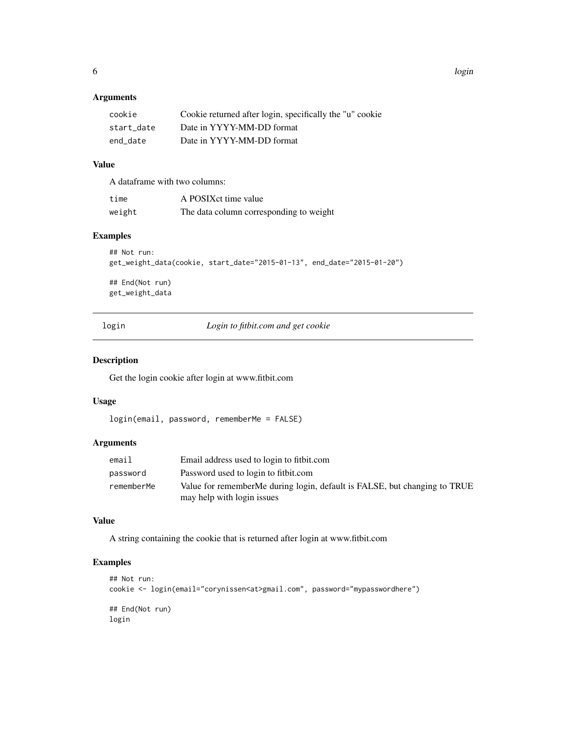#### <span id="page-5-0"></span>Arguments

| cookie     | Cookie returned after login, specifically the "u" cookie |
|------------|----------------------------------------------------------|
| start date | Date in YYYY-MM-DD format                                |
| end date   | Date in YYYY-MM-DD format                                |

#### Value

A dataframe with two columns:

| time   | A POSIX ct time value                   |
|--------|-----------------------------------------|
| weight | The data column corresponding to weight |

#### Examples

```
## Not run:
get_weight_data(cookie, start_date="2015-01-13", end_date="2015-01-20")
## End(Not run)
get_weight_data
```
login *Login to fitbit.com and get cookie*

#### Description

Get the login cookie after login at www.fitbit.com

#### Usage

```
login(email, password, rememberMe = FALSE)
```
#### Arguments

| email      | Email address used to login to fit bit.com                                |
|------------|---------------------------------------------------------------------------|
| password   | Password used to login to fit bit.com                                     |
| rememberMe | Value for rememberMe during login, default is FALSE, but changing to TRUE |
|            | may help with login issues                                                |

#### Value

A string containing the cookie that is returned after login at www.fitbit.com

#### Examples

```
## Not run:
cookie <- login(email="corynissen<at>gmail.com", password="mypasswordhere")
## End(Not run)
login
```